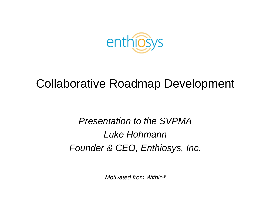

#### Collaborative Roadmap Development

*Presentation to the SVPMA Luke HohmannFounder & CEO, Enthiosys, Inc.*

*Motivated from Within®*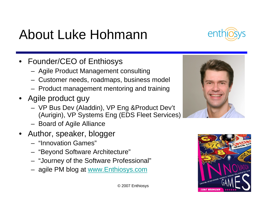## About Luke Hohmann

- Founder/CEO of Enthiosys
	- Agile Product Management consulting
	- Customer needs, roadmaps, business model
	- Product management mentoring and training
- Agile product guy
	- VP Bus Dev (Aladdin), VP Eng &Product Dev't (Aurigin), VP Systems Eng (EDS Fleet Services)
	- Board of Agile Alliance
- Author, speaker, blogger
	- "Innovation Games"
	- "Beyond Software Architecture"
	- "Journey of the Software Professional"
	- agile PM blog at www.Enthiosys.com





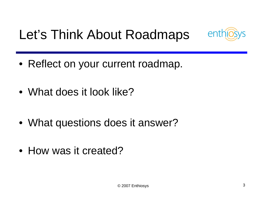# Let's Think About Roadmaps



- Reflect on your current roadmap.
- What does it look like?
- What questions does it answer?
- How was it created?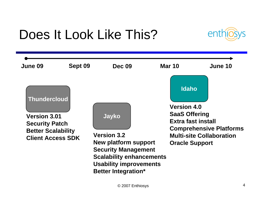# Does It Look Like This?



| June 09                                                                                                                      | Sept 09 | <b>Dec 09</b>                                                                                                                                                                       | <b>Mar 10</b>                                                                                                                                                                         | June 10 |
|------------------------------------------------------------------------------------------------------------------------------|---------|-------------------------------------------------------------------------------------------------------------------------------------------------------------------------------------|---------------------------------------------------------------------------------------------------------------------------------------------------------------------------------------|---------|
| <b>Thundercloud</b><br><b>Version 3.01</b><br><b>Security Patch</b><br><b>Better Scalability</b><br><b>Client Access SDK</b> |         | Jayko<br><b>Version 3.2</b><br>New platform support<br><b>Security Management</b><br><b>Scalability enhancements</b><br><b>Usability improvements</b><br><b>Better Integration*</b> | <b>Idaho</b><br><b>Version 4.0</b><br><b>SaaS Offering</b><br><b>Extra fast install</b><br><b>Comprehensive Platforms</b><br><b>Multi-site Collaboration</b><br><b>Oracle Support</b> |         |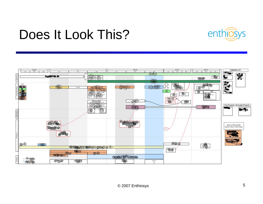### Does It Look This?



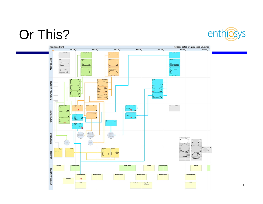### Or This?



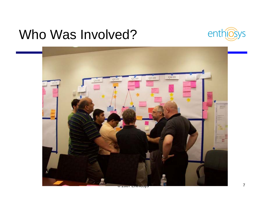### Who Was Involved?



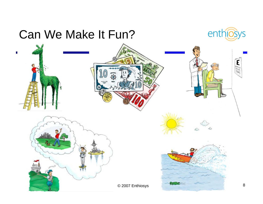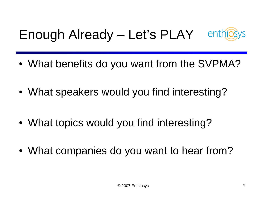# Enough Already – Let's PLAY



- What benefits do you want from the SVPMA?
- What speakers would you find interesting?
- What topics would you find interesting?
- What companies do you want to hear from?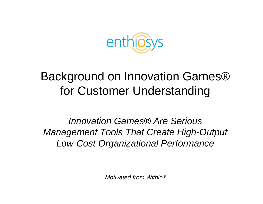

#### Background on Innovation Games® for Customer Understanding

*Innovation Games® Are Serious Management Tools That Create High-Output Low-Cost Organizational Performance*

*Motivated from Within®*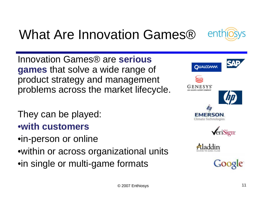

## What Are Innovation Games®

Innovation Games® are **serious games** that solve a wide range of product strategy and management problems across the market lifecycle.

They can be played: •**with customers**  •in-person or online •within or across organizational units •in single or multi-game formats



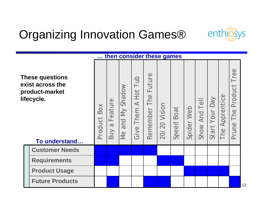

### Organizing Innovation Games®

|                                                                                             |  |                        |                                         | then consider these games     |                                       |                           |                 |                   |            |                  |                   |                   |                                |  |    |
|---------------------------------------------------------------------------------------------|--|------------------------|-----------------------------------------|-------------------------------|---------------------------------------|---------------------------|-----------------|-------------------|------------|------------------|-------------------|-------------------|--------------------------------|--|----|
| <b>These questions</b><br>exist across the<br>product-market<br>lifecycle.<br>To understand |  | Box<br>Product         | Feature<br>$\boldsymbol{\nabla}$<br>Buy | <b>Shadow</b><br>and My<br>Me | Tub<br>Hot<br>$\prec$<br>Them<br>Give | Future<br>The<br>Remember | Vision<br>20/20 | <b>Speed Boat</b> | Spider Web | Tell<br>Show And | Veq<br>Start Your | Apprentice<br>The | ree<br>Product<br>The<br>Prune |  |    |
|                                                                                             |  | <b>Customer Needs</b>  |                                         |                               |                                       |                           |                 |                   |            |                  |                   |                   |                                |  |    |
|                                                                                             |  | <b>Requirements</b>    |                                         |                               |                                       |                           |                 |                   |            |                  |                   |                   |                                |  |    |
|                                                                                             |  | <b>Product Usage</b>   |                                         |                               |                                       |                           |                 |                   |            |                  |                   |                   |                                |  |    |
|                                                                                             |  | <b>Future Products</b> |                                         |                               |                                       |                           |                 |                   |            |                  |                   |                   |                                |  | 12 |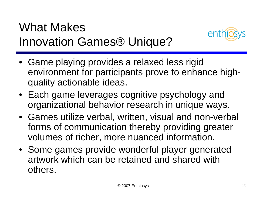### What Makes Innovation Games® Unique?



- Game playing provides a relaxed less rigid environment for participants prove to enhance highquality actionable ideas.
- Each game leverages cognitive psychology and organizational behavior research in unique ways.
- Games utilize verbal, written, visual and non-verbal forms of communication thereby providing greater volumes of richer, more nuanced information.
- Some games provide wonderful player generated artwork which can be retained and shared with others.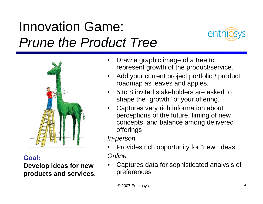## Innovation Game: *Prune the Product Tree*





**Goal:**

**Develop ideas for new products and services.**

- • Draw a graphic image of a tree to represent growth of the product/service.
- • Add your current project portfolio / product roadmap as leaves and apples.
- 5 to 8 invited stakeholders are asked to shape the "growth" of your offering.
- • Captures very rich information about perceptions of the future, timing of new concepts, and balance among delivered offerings

*In-person*

- • Provides rich opportunity for "new" ideas *Online*
- • Captures data for sophisticated analysis of preferences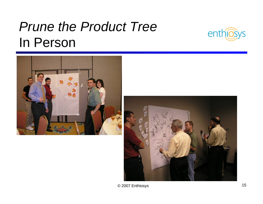## *Prune the Product Tree*  In Person







© 2007 Enthiosys <sup>15</sup>